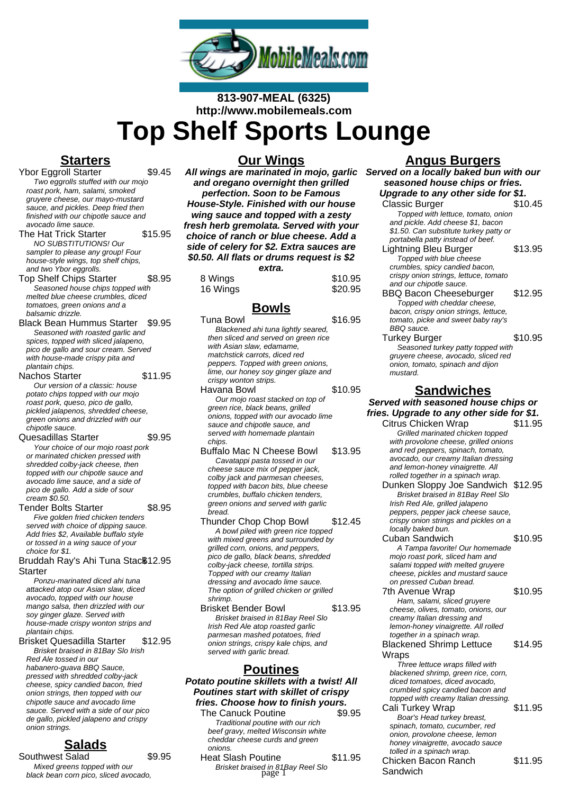

# **813-907-MEAL (6325) http://www.mobilemeals.com Top Shelf Sports Lounge**

# **Starters**

Ybor Eggroll Starter \$9.45 Two eggrolls stuffed with our mojo roast pork, ham, salami, smoked gruyere cheese, our mayo-mustard sauce, and pickles. Deep fried then finished with our chipotle sauce and avocado lime sauce.

The Hat Trick Starter \$15.95 NO SUBSTITUTIONS! Our sampler to please any group! Four house-style wings, top shelf chips, and two Ybor eggrolls.

Top Shelf Chips Starter \$8.95 Seasoned house chips topped with melted blue cheese crumbles, diced tomatoes, green onions and a balsamic drizzle.

Black Bean Hummus Starter \$9.95 Seasoned with roasted garlic and spices, topped with sliced jalapeno, pico de gallo and sour cream. Served with house-made crispy pita and plantain chips.

#### Nachos Starter \$11.95

Our version of a classic: house potato chips topped with our mojo roast pork, queso, pico de gallo, pickled jalapenos, shredded cheese, green onions and drizzled with our chipotle sauce.

Quesadillas Starter \$9.95 Your choice of our mojo roast pork or marinated chicken pressed with shredded colby-jack cheese, then topped with our chipotle sauce and avocado lime sauce, and a side of pico de gallo. Add a side of sour cream \$0.50.

Tender Bolts Starter \$8.95 Five golden fried chicken tenders served with choice of dipping sauce. Add fries \$2, Available buffalo style or tossed in a wing sauce of your choice for \$1.

Bruddah Ray's Ahi Tuna Stac\$12.95 **Starter** 

Ponzu-marinated diced ahi tuna attacked atop our Asian slaw, diced avocado, topped with our house mango salsa, then drizzled with our soy ginger glaze. Served with house-made crispy wonton strips and plantain chips.

Brisket Quesadilla Starter \$12.95 Brisket braised in 81Bay Slo Irish Red Ale tossed in our habanero-guava BBQ Sauce, pressed with shredded colby-jack cheese, spicy candied bacon, fried onion strings, then topped with our chipotle sauce and avocado lime sauce. Served with a side of our pico de gallo, pickled jalapeno and crispy onion strings.

# **Salads**

Southwest Salad \$9.95 Mixed greens topped with our black bean corn pico, sliced avocado,

### **Our Wings**

**All wings are marinated in mojo, garlic and oregano overnight then grilled perfection. Soon to be Famous House-Style. Finished with our house wing sauce and topped with a zesty fresh herb gremolata. Served with your choice of ranch or blue cheese. Add a side of celery for \$2. Extra sauces are \$0.50. All flats or drums request is \$2 extra.**

|          | <u>uau u.</u> |         |
|----------|---------------|---------|
| 8 Wings  |               | \$10.95 |
| 16 Wings |               | \$20.95 |

# **Bowls**

- Tuna Bowl \$16.95 Blackened ahi tuna lightly seared, then sliced and served on green rice with Asian slaw, edamame, matchstick carrots, diced red peppers. Topped with green onions, lime, our honey soy ginger glaze and crispy wonton strips. Havana Bowl \$10.95 Our mojo roast stacked on top of green rice, black beans, grilled onions, topped with our avocado lime sauce and chipotle sauce, and served with homemade plantain chips. Buffalo Mac N Cheese Bowl \$13.95 Cavatappi pasta tossed in our cheese sauce mix of pepper jack, colby jack and parmesan cheeses, topped with bacon bits, blue cheese crumbles, buffalo chicken tenders, green onions and served with garlic bread. Thunder Chop Chop Bowl \$12.45 A bowl piled with green rice topped with mixed greens and surrounded by grilled corn, onions, and peppers, pico de gallo, black beans, shredded colby-jack cheese, tortilla strips. Topped with our creamy Italian dressing and avocado lime sauce. The option of grilled chicken or grilled
- shrimp. Brisket Bender Bowl \$13.95 Brisket braised in 81Bay Reel Slo Irish Red Ale atop roasted garlic parmesan mashed potatoes, fried onion strings, crispy kale chips, and served with garlic bread.

## **Poutines**

**Potato poutine skillets with a twist! All Poutines start with skillet of crispy fries. Choose how to finish yours.**

The Canuck Poutine **\$9.95** Traditional poutine with our rich beef gravy, melted Wisconsin white cheddar cheese curds and green onions.

Heat Slash Poutine \$11.95 Brisket braised in 81Bay Reel Slo page 1

#### **Angus Burgers**

**Served on a locally baked bun with our seasoned house chips or fries. Upgrade to any other side for \$1.**

| pyraud to any other side for              |         |
|-------------------------------------------|---------|
| <b>Classic Burger</b>                     | \$10.45 |
| Topped with lettuce, tomato, onion        |         |
| and pickle. Add cheese \$1, bacon         |         |
| \$1.50. Can substitute turkey patty or    |         |
| portabella patty instead of beef.         |         |
| Lightning Bleu Burger                     | \$13.95 |
| Topped with blue cheese                   |         |
| crumbles, spicy candied bacon,            |         |
| crispy onion strings, lettuce, tomato     |         |
| and our chipotle sauce.                   |         |
| <b>BBQ Bacon Cheeseburger</b>             | \$12.95 |
| Topped with cheddar cheese,               |         |
| bacon, crispy onion strings, lettuce,     |         |
| tomato, picke and sweet baby ray's        |         |
| BBQ sauce.                                |         |
| Turkey Burger                             | \$10.95 |
| Seasoned turkey patty topped with         |         |
| gruyere cheese, avocado, sliced red       |         |
| onion, tomato, spinach and dijon          |         |
| mustard.                                  |         |
|                                           |         |
| <u>Sandwiches</u>                         |         |
| Served with seasoned house chips or       |         |
| fries. Upgrade to any other side for \$1. |         |
| Citrus Chicken Wrap                       | \$11.95 |
| Grilled marinated chicken topped          |         |
| with provolone cheese, grilled onions     |         |
| and red peppers, spinach, tomato,         |         |
| avocado, our creamy Italian dressing      |         |
| and lemon-honey vinaigrette. All          |         |
| rolled together in a spinach wrap.        |         |
| Dunken Sloppy Joe Sandwich \$12.95        |         |
| Brisket braised in 81 Bay Reel Slo        |         |
| Irish Red Ale, grilled jalapeno           |         |
| peppers, pepper jack cheese sauce,        |         |
| crispy onion strings and pickles on a     |         |
| locally baked bun.                        |         |
| Cuban Sandwich                            | \$10.95 |
| A Tampa favorite! Our homemade            |         |
| mojo roast pork, sliced ham and           |         |
| salami topped with melted gruyere         |         |
| cheese, pickles and mustard sauce         |         |
| on pressed Cuban bread.                   |         |
| 7th Avenue Wrap                           | \$10.95 |
| Ham, salami, sliced gruyere               |         |
| cheese, olives, tomato, onions, our       |         |
| creamy Italian dressing and               |         |
| lemon-honey vinaigrette. All rolled       |         |
| together in a spinach wrap.               |         |
| <b>Blackened Shrimp Lettuce</b>           | \$14.95 |
| Wraps                                     |         |
| Three lettuce wraps filled with           |         |
| blackened shrimp, green rice, corn,       |         |
| diced tomatoes, diced avocado,            |         |
| crumbled spicy candied bacon and          |         |
| topped with creamy Italian dressing.      |         |
| Cali Turkey Wrap                          | \$11.95 |
| Boar's Head turkey breast,                |         |
| spinach, tomato, cucumber, red            |         |
| onion, provolone cheese, lemon            |         |
| honey vinaigrette, avocado sauce          |         |
| tolled in a spinach wrap.                 |         |

Chicken Bacon Ranch

\$11.95

Sandwich